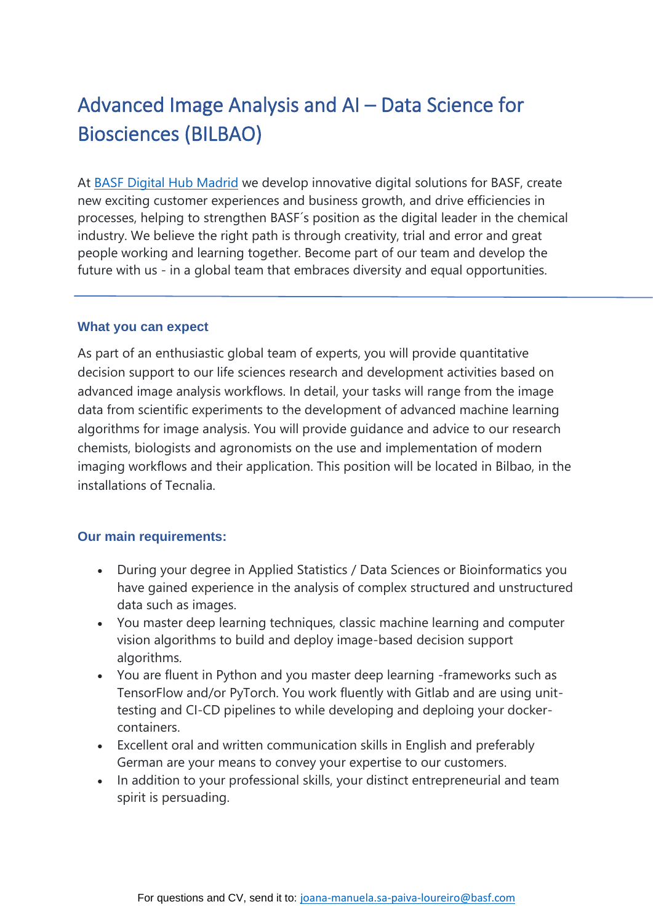# Advanced Image Analysis and AI – Data Science for Biosciences (BILBAO)

At [BASF Digital Hub Madrid](https://www.youtube.com/watch?v=uTzJSJO9hXY) we develop innovative digital solutions for BASF, create new exciting customer experiences and business growth, and drive efficiencies in processes, helping to strengthen BASF´s position as the digital leader in the chemical industry. We believe the right path is through creativity, trial and error and great people working and learning together. Become part of our team and develop the future with us - in a global team that embraces diversity and equal opportunities.

#### **What you can expect**

As part of an enthusiastic global team of experts, you will provide quantitative decision support to our life sciences research and development activities based on advanced image analysis workflows. In detail, your tasks will range from the image data from scientific experiments to the development of advanced machine learning algorithms for image analysis. You will provide guidance and advice to our research chemists, biologists and agronomists on the use and implementation of modern imaging workflows and their application. This position will be located in Bilbao, in the installations of Tecnalia.

### **Our main requirements:**

- During your degree in Applied Statistics / Data Sciences or Bioinformatics you have gained experience in the analysis of complex structured and unstructured data such as images.
- You master deep learning techniques, classic machine learning and computer vision algorithms to build and deploy image-based decision support algorithms.
- You are fluent in Python and you master deep learning -frameworks such as TensorFlow and/or PyTorch. You work fluently with Gitlab and are using unittesting and CI-CD pipelines to while developing and deploing your dockercontainers.
- Excellent oral and written communication skills in English and preferably German are your means to convey your expertise to our customers.
- In addition to your professional skills, your distinct entrepreneurial and team spirit is persuading.